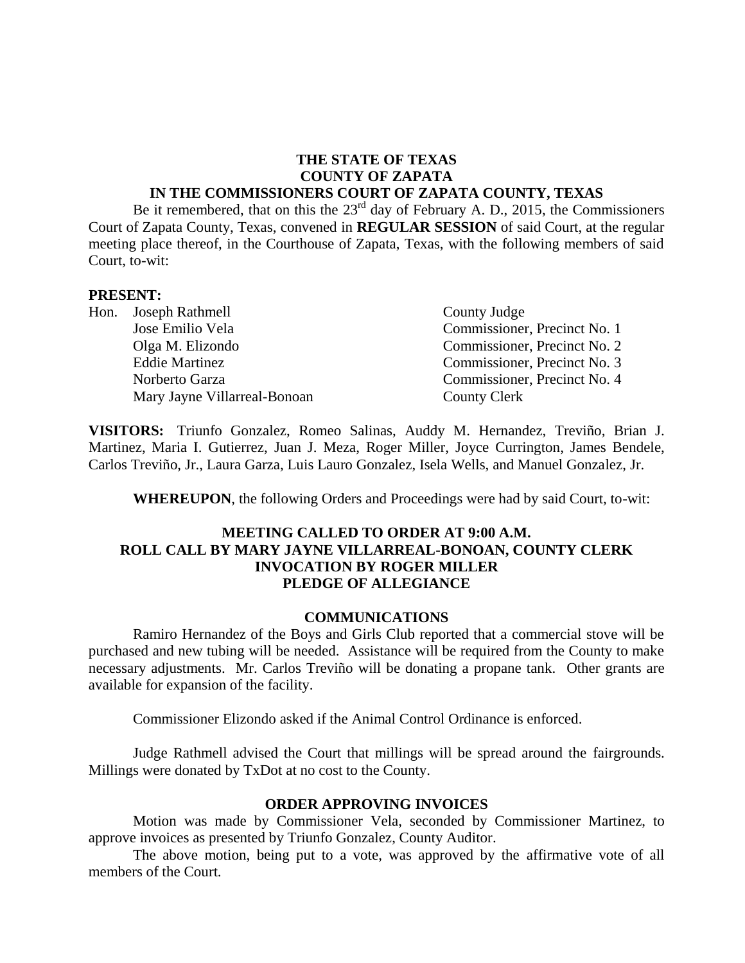### **THE STATE OF TEXAS COUNTY OF ZAPATA IN THE COMMISSIONERS COURT OF ZAPATA COUNTY, TEXAS**

Be it remembered, that on this the  $23<sup>rd</sup>$  day of February A. D., 2015, the Commissioners Court of Zapata County, Texas, convened in **REGULAR SESSION** of said Court, at the regular meeting place thereof, in the Courthouse of Zapata, Texas, with the following members of said Court, to-wit:

#### **PRESENT:**

Hon. Joseph Rathmell County Judge Jose Emilio Vela Commissioner, Precinct No. 1 Olga M. Elizondo Commissioner, Precinct No. 2 Eddie Martinez Commissioner, Precinct No. 3 Norberto Garza Commissioner, Precinct No. 4 Mary Jayne Villarreal-Bonoan County Clerk

**VISITORS:** Triunfo Gonzalez, Romeo Salinas, Auddy M. Hernandez, Treviño, Brian J. Martinez, Maria I. Gutierrez, Juan J. Meza, Roger Miller, Joyce Currington, James Bendele, Carlos Treviño, Jr., Laura Garza, Luis Lauro Gonzalez, Isela Wells, and Manuel Gonzalez, Jr.

**WHEREUPON**, the following Orders and Proceedings were had by said Court, to-wit:

### **MEETING CALLED TO ORDER AT 9:00 A.M. ROLL CALL BY MARY JAYNE VILLARREAL-BONOAN, COUNTY CLERK INVOCATION BY ROGER MILLER PLEDGE OF ALLEGIANCE**

### **COMMUNICATIONS**

Ramiro Hernandez of the Boys and Girls Club reported that a commercial stove will be purchased and new tubing will be needed. Assistance will be required from the County to make necessary adjustments. Mr. Carlos Treviño will be donating a propane tank. Other grants are available for expansion of the facility.

Commissioner Elizondo asked if the Animal Control Ordinance is enforced.

Judge Rathmell advised the Court that millings will be spread around the fairgrounds. Millings were donated by TxDot at no cost to the County.

#### **ORDER APPROVING INVOICES**

Motion was made by Commissioner Vela, seconded by Commissioner Martinez, to approve invoices as presented by Triunfo Gonzalez, County Auditor.

The above motion, being put to a vote, was approved by the affirmative vote of all members of the Court.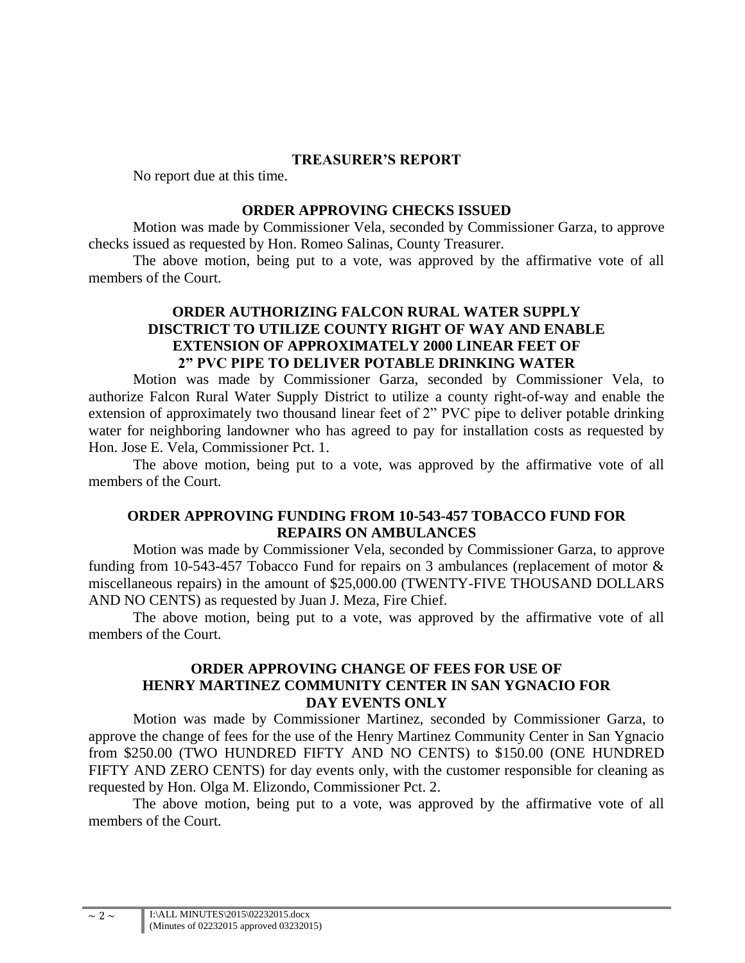### **TREASURER'S REPORT**

No report due at this time.

### **ORDER APPROVING CHECKS ISSUED**

Motion was made by Commissioner Vela, seconded by Commissioner Garza, to approve checks issued as requested by Hon. Romeo Salinas, County Treasurer.

The above motion, being put to a vote, was approved by the affirmative vote of all members of the Court.

# **ORDER AUTHORIZING FALCON RURAL WATER SUPPLY DISCTRICT TO UTILIZE COUNTY RIGHT OF WAY AND ENABLE EXTENSION OF APPROXIMATELY 2000 LINEAR FEET OF 2" PVC PIPE TO DELIVER POTABLE DRINKING WATER**

Motion was made by Commissioner Garza, seconded by Commissioner Vela, to authorize Falcon Rural Water Supply District to utilize a county right-of-way and enable the extension of approximately two thousand linear feet of 2" PVC pipe to deliver potable drinking water for neighboring landowner who has agreed to pay for installation costs as requested by Hon. Jose E. Vela, Commissioner Pct. 1.

The above motion, being put to a vote, was approved by the affirmative vote of all members of the Court.

# **ORDER APPROVING FUNDING FROM 10-543-457 TOBACCO FUND FOR REPAIRS ON AMBULANCES**

Motion was made by Commissioner Vela, seconded by Commissioner Garza, to approve funding from 10-543-457 Tobacco Fund for repairs on 3 ambulances (replacement of motor & miscellaneous repairs) in the amount of \$25,000.00 (TWENTY-FIVE THOUSAND DOLLARS AND NO CENTS) as requested by Juan J. Meza, Fire Chief.

The above motion, being put to a vote, was approved by the affirmative vote of all members of the Court.

## **ORDER APPROVING CHANGE OF FEES FOR USE OF HENRY MARTINEZ COMMUNITY CENTER IN SAN YGNACIO FOR DAY EVENTS ONLY**

Motion was made by Commissioner Martinez, seconded by Commissioner Garza, to approve the change of fees for the use of the Henry Martinez Community Center in San Ygnacio from \$250.00 (TWO HUNDRED FIFTY AND NO CENTS) to \$150.00 (ONE HUNDRED FIFTY AND ZERO CENTS) for day events only, with the customer responsible for cleaning as requested by Hon. Olga M. Elizondo, Commissioner Pct. 2.

The above motion, being put to a vote, was approved by the affirmative vote of all members of the Court.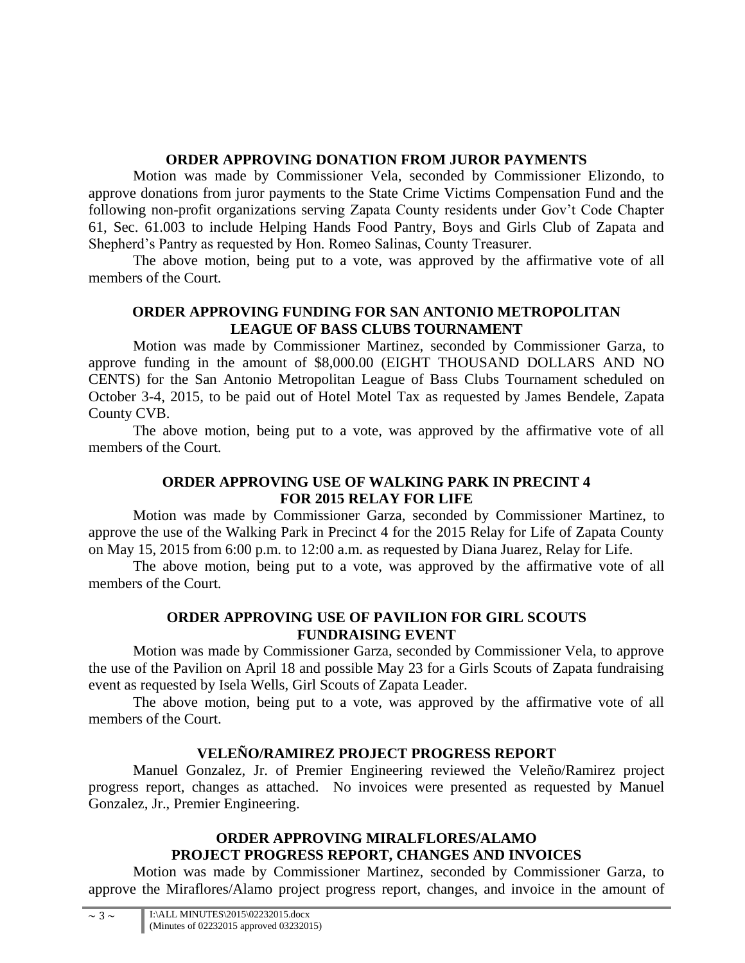# **ORDER APPROVING DONATION FROM JUROR PAYMENTS**

Motion was made by Commissioner Vela, seconded by Commissioner Elizondo, to approve donations from juror payments to the State Crime Victims Compensation Fund and the following non-profit organizations serving Zapata County residents under Gov't Code Chapter 61, Sec. 61.003 to include Helping Hands Food Pantry, Boys and Girls Club of Zapata and Shepherd's Pantry as requested by Hon. Romeo Salinas, County Treasurer.

The above motion, being put to a vote, was approved by the affirmative vote of all members of the Court.

# **ORDER APPROVING FUNDING FOR SAN ANTONIO METROPOLITAN LEAGUE OF BASS CLUBS TOURNAMENT**

Motion was made by Commissioner Martinez, seconded by Commissioner Garza, to approve funding in the amount of \$8,000.00 (EIGHT THOUSAND DOLLARS AND NO CENTS) for the San Antonio Metropolitan League of Bass Clubs Tournament scheduled on October 3-4, 2015, to be paid out of Hotel Motel Tax as requested by James Bendele, Zapata County CVB.

The above motion, being put to a vote, was approved by the affirmative vote of all members of the Court.

# **ORDER APPROVING USE OF WALKING PARK IN PRECINT 4 FOR 2015 RELAY FOR LIFE**

Motion was made by Commissioner Garza, seconded by Commissioner Martinez, to approve the use of the Walking Park in Precinct 4 for the 2015 Relay for Life of Zapata County on May 15, 2015 from 6:00 p.m. to 12:00 a.m. as requested by Diana Juarez, Relay for Life.

The above motion, being put to a vote, was approved by the affirmative vote of all members of the Court.

# **ORDER APPROVING USE OF PAVILION FOR GIRL SCOUTS FUNDRAISING EVENT**

Motion was made by Commissioner Garza, seconded by Commissioner Vela, to approve the use of the Pavilion on April 18 and possible May 23 for a Girls Scouts of Zapata fundraising event as requested by Isela Wells, Girl Scouts of Zapata Leader.

The above motion, being put to a vote, was approved by the affirmative vote of all members of the Court.

# **VELEÑO/RAMIREZ PROJECT PROGRESS REPORT**

Manuel Gonzalez, Jr. of Premier Engineering reviewed the Veleño/Ramirez project progress report, changes as attached. No invoices were presented as requested by Manuel Gonzalez, Jr., Premier Engineering.

# **ORDER APPROVING MIRALFLORES/ALAMO PROJECT PROGRESS REPORT, CHANGES AND INVOICES**

Motion was made by Commissioner Martinez, seconded by Commissioner Garza, to approve the Miraflores/Alamo project progress report, changes, and invoice in the amount of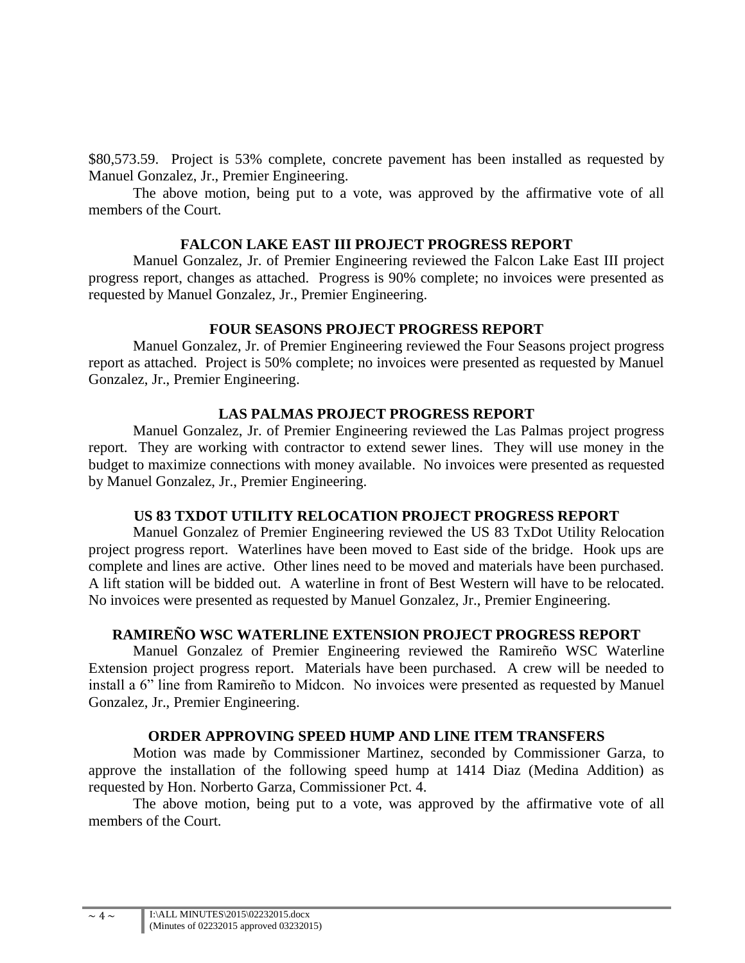\$80,573.59. Project is 53% complete, concrete pavement has been installed as requested by Manuel Gonzalez, Jr., Premier Engineering.

The above motion, being put to a vote, was approved by the affirmative vote of all members of the Court.

# **FALCON LAKE EAST III PROJECT PROGRESS REPORT**

Manuel Gonzalez, Jr. of Premier Engineering reviewed the Falcon Lake East III project progress report, changes as attached. Progress is 90% complete; no invoices were presented as requested by Manuel Gonzalez, Jr., Premier Engineering.

# **FOUR SEASONS PROJECT PROGRESS REPORT**

Manuel Gonzalez, Jr. of Premier Engineering reviewed the Four Seasons project progress report as attached. Project is 50% complete; no invoices were presented as requested by Manuel Gonzalez, Jr., Premier Engineering.

# **LAS PALMAS PROJECT PROGRESS REPORT**

Manuel Gonzalez, Jr. of Premier Engineering reviewed the Las Palmas project progress report. They are working with contractor to extend sewer lines. They will use money in the budget to maximize connections with money available. No invoices were presented as requested by Manuel Gonzalez, Jr., Premier Engineering.

# **US 83 TXDOT UTILITY RELOCATION PROJECT PROGRESS REPORT**

Manuel Gonzalez of Premier Engineering reviewed the US 83 TxDot Utility Relocation project progress report. Waterlines have been moved to East side of the bridge. Hook ups are complete and lines are active. Other lines need to be moved and materials have been purchased. A lift station will be bidded out. A waterline in front of Best Western will have to be relocated. No invoices were presented as requested by Manuel Gonzalez, Jr., Premier Engineering.

# **RAMIREÑO WSC WATERLINE EXTENSION PROJECT PROGRESS REPORT**

Manuel Gonzalez of Premier Engineering reviewed the Ramireño WSC Waterline Extension project progress report. Materials have been purchased. A crew will be needed to install a 6" line from Ramireño to Midcon. No invoices were presented as requested by Manuel Gonzalez, Jr., Premier Engineering.

# **ORDER APPROVING SPEED HUMP AND LINE ITEM TRANSFERS**

Motion was made by Commissioner Martinez, seconded by Commissioner Garza, to approve the installation of the following speed hump at 1414 Diaz (Medina Addition) as requested by Hon. Norberto Garza, Commissioner Pct. 4.

The above motion, being put to a vote, was approved by the affirmative vote of all members of the Court.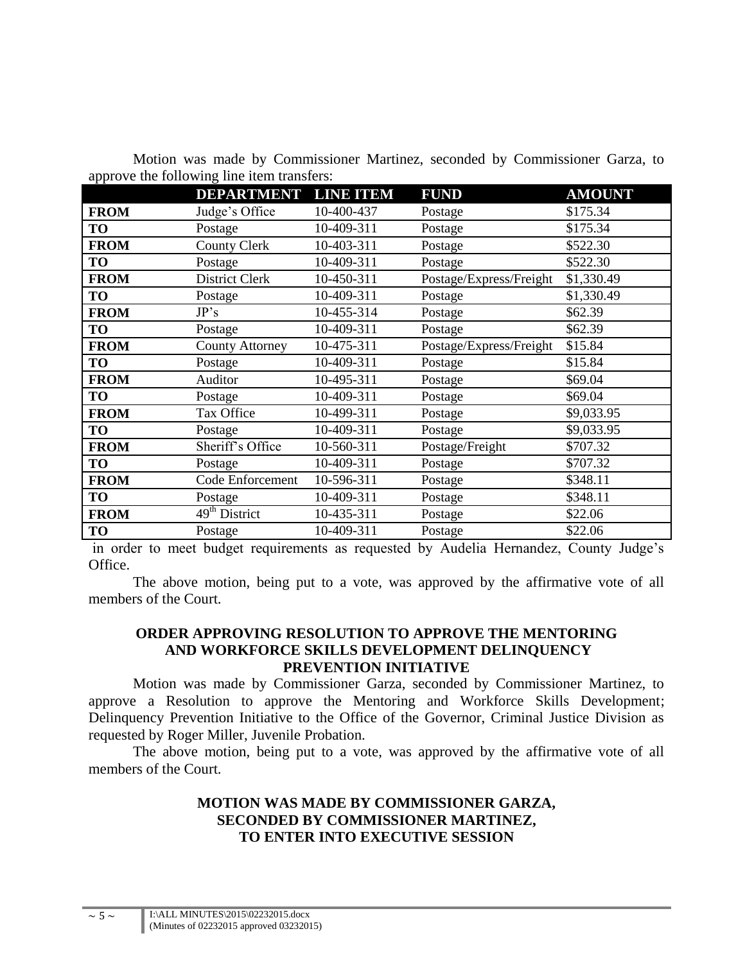|             | <b>DEPARTMENT</b>                      | <b>LINE ITEM</b> | <b>FUND</b>             | <b>AMOUNT</b> |
|-------------|----------------------------------------|------------------|-------------------------|---------------|
| <b>FROM</b> | Judge's Office                         | 10-400-437       | Postage                 | \$175.34      |
| TO          | Postage                                | 10-409-311       | Postage                 | \$175.34      |
| <b>FROM</b> | <b>County Clerk</b>                    | 10-403-311       | Postage                 | \$522.30      |
| TO          | Postage                                | 10-409-311       | Postage                 | \$522.30      |
| <b>FROM</b> | District Clerk                         | 10-450-311       | Postage/Express/Freight | \$1,330.49    |
| TO          | Postage                                | 10-409-311       | Postage                 | \$1,330.49    |
| <b>FROM</b> | JP's                                   | 10-455-314       | Postage                 | \$62.39       |
| TO          | Postage                                | 10-409-311       | Postage                 | \$62.39       |
| <b>FROM</b> | <b>County Attorney</b>                 | 10-475-311       | Postage/Express/Freight | \$15.84       |
| TO          | Postage                                | 10-409-311       | Postage                 | \$15.84       |
| <b>FROM</b> | Auditor                                | 10-495-311       | Postage                 | \$69.04       |
| TO          | Postage                                | 10-409-311       | Postage                 | \$69.04       |
| <b>FROM</b> | Tax Office                             | 10-499-311       | Postage                 | \$9,033.95    |
| TO          | Postage                                | 10-409-311       | Postage                 | \$9,033.95    |
| <b>FROM</b> | Sheriff's Office                       | 10-560-311       | Postage/Freight         | \$707.32      |
| TO          | Postage                                | 10-409-311       | Postage                 | \$707.32      |
| <b>FROM</b> | Code Enforcement                       | 10-596-311       | Postage                 | \$348.11      |
| TO          | Postage                                | 10-409-311       | Postage                 | \$348.11      |
| <b>FROM</b> | $\overline{49}$ <sup>th</sup> District | 10-435-311       | Postage                 | \$22.06       |
| TO          | Postage                                | 10-409-311       | Postage                 | \$22.06       |

Motion was made by Commissioner Martinez, seconded by Commissioner Garza, to approve the following line item transfers:

in order to meet budget requirements as requested by Audelia Hernandez, County Judge's Office.

The above motion, being put to a vote, was approved by the affirmative vote of all members of the Court.

### **ORDER APPROVING RESOLUTION TO APPROVE THE MENTORING AND WORKFORCE SKILLS DEVELOPMENT DELINQUENCY PREVENTION INITIATIVE**

Motion was made by Commissioner Garza, seconded by Commissioner Martinez, to approve a Resolution to approve the Mentoring and Workforce Skills Development; Delinquency Prevention Initiative to the Office of the Governor, Criminal Justice Division as requested by Roger Miller, Juvenile Probation.

The above motion, being put to a vote, was approved by the affirmative vote of all members of the Court.

## **MOTION WAS MADE BY COMMISSIONER GARZA, SECONDED BY COMMISSIONER MARTINEZ, TO ENTER INTO EXECUTIVE SESSION**